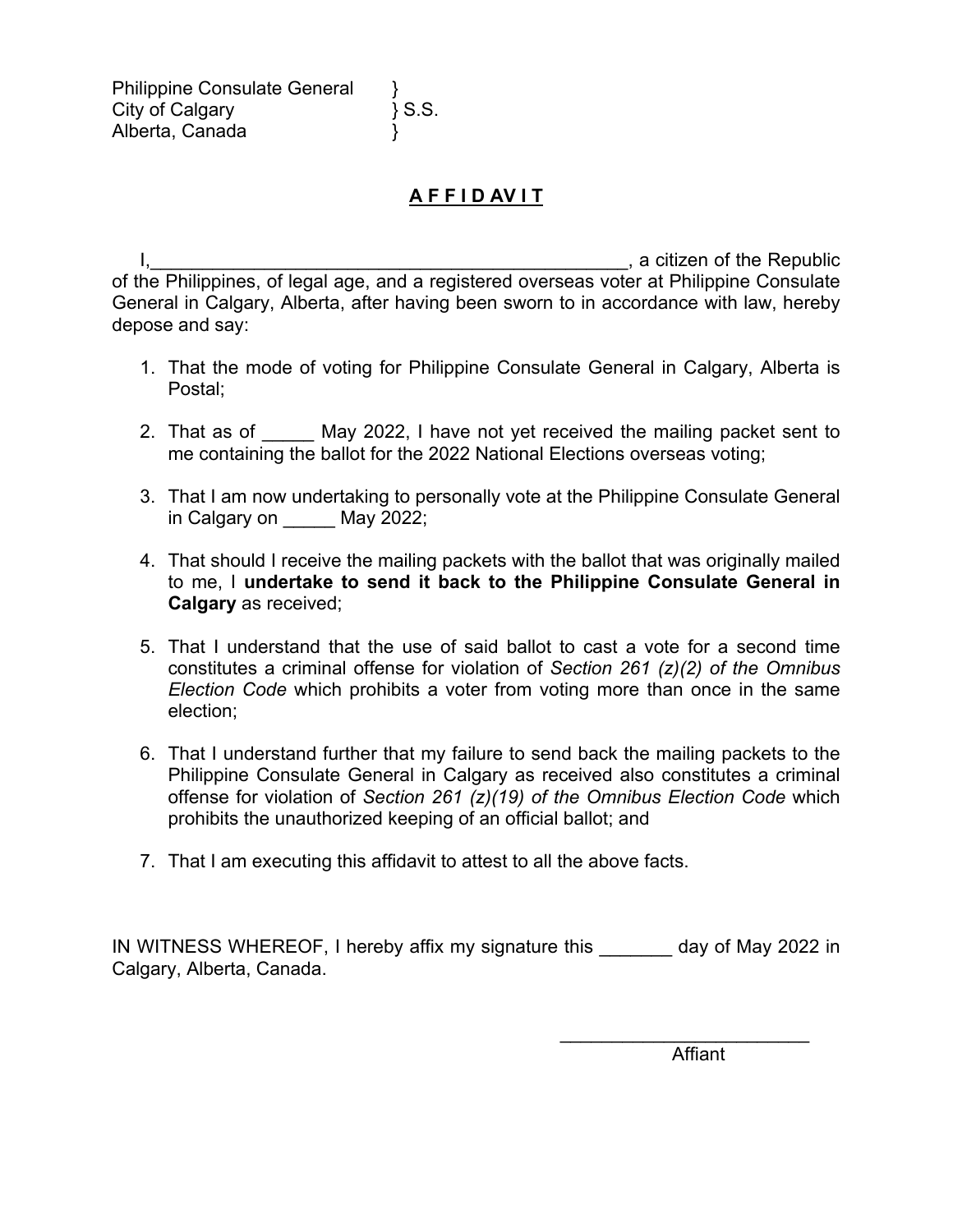## **A F F I D AV I T**

I, the contract of the Republic state of the Republic state of the Republic state of the Republic of the Philippines, of legal age, and a registered overseas voter at Philippine Consulate General in Calgary, Alberta, after having been sworn to in accordance with law, hereby depose and say:

- 1. That the mode of voting for Philippine Consulate General in Calgary, Alberta is Postal;
- 2. That as of May 2022, I have not yet received the mailing packet sent to me containing the ballot for the 2022 National Elections overseas voting;
- 3. That I am now undertaking to personally vote at the Philippine Consulate General in Calgary on May 2022;
- 4. That should I receive the mailing packets with the ballot that was originally mailed to me, I **undertake to send it back to the Philippine Consulate General in Calgary** as received;
- 5. That I understand that the use of said ballot to cast a vote for a second time constitutes a criminal offense for violation of *Section 261 (z)(2) of the Omnibus Election Code* which prohibits a voter from voting more than once in the same election;
- 6. That I understand further that my failure to send back the mailing packets to the Philippine Consulate General in Calgary as received also constitutes a criminal offense for violation of *Section 261 (z)(19) of the Omnibus Election Code* which prohibits the unauthorized keeping of an official ballot; and
- 7. That I am executing this affidavit to attest to all the above facts.

IN WITNESS WHEREOF, I hereby affix my signature this day of May 2022 in Calgary, Alberta, Canada.

**Affiant** 

 $\mathcal{L}_\text{max}$  , where  $\mathcal{L}_\text{max}$  , we are the set of the set of the set of the set of the set of the set of the set of the set of the set of the set of the set of the set of the set of the set of the set of the set of